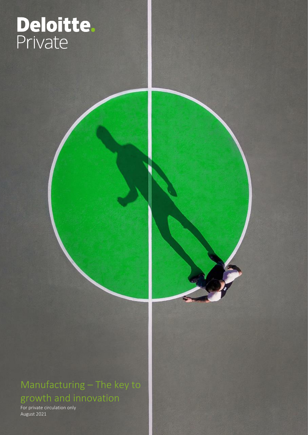# ī

### Manufacturing – The key to growth and innovation

For private circulation only August 2021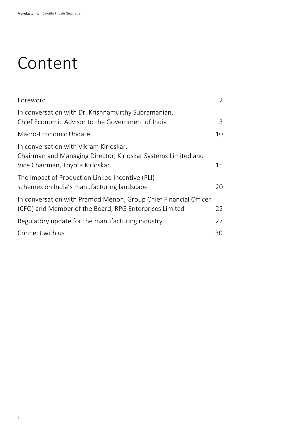### Content

| Foreword                                                                                                                                   |    |
|--------------------------------------------------------------------------------------------------------------------------------------------|----|
| In conversation with Dr. Krishnamurthy Subramanian,<br>Chief Economic Advisor to the Government of India                                   | 3  |
| Macro-Economic Update                                                                                                                      | 10 |
| In conversation with Vikram Kirloskar,<br>Chairman and Managing Director, Kirloskar Systems Limited and<br>Vice Chairman, Toyota Kirloskar | 15 |
| The impact of Production Linked Incentive (PLI)<br>schemes on India's manufacturing landscape                                              | 20 |
| In conversation with Pramod Menon, Group Chief Financial Officer<br>(CFO) and Member of the Board, RPG Enterprises Limited                 | 22 |
| Regulatory update for the manufacturing industry                                                                                           | 27 |
| Connect with us                                                                                                                            | 30 |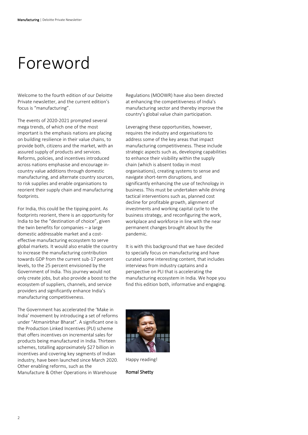### <span id="page-2-0"></span>Foreword

Welcome to the fourth edition of our Deloitte Private newsletter, and the current edition's focus is "manufacturing".

The events of 2020-2021 prompted several mega trends, of which one of the most important is the emphasis nations are placing on building resilience in their value chains, to provide both, citizens and the market, with an assured supply of products and services. Reforms, policies, and incentives introduced across nations emphasise and encourage incountry value additions through domestic manufacturing, and alternate country sources, to risk supplies and enable organisations to reorient their supply chain and manufacturing footprints.

For India, this could be the tipping point. As footprints reorient, there is an opportunity for India to be the "destination of choice", given the twin benefits for companies – a large domestic addressable market and a costeffective manufacturing ecosystem to serve global markets. It would also enable the country to increase the manufacturing contribution towards GDP from the current sub-17 percent levels, to the 25 percent envisioned by the Government of India. This journey would not only create jobs, but also provide a boost to the ecosystem of suppliers, channels, and service providers and significantly enhance India's manufacturing competitiveness.

The Government has accelerated the 'Make in India' movement by introducing a set of reforms under "Atmanirbhar Bharat". A significant one is the Production Linked Incentives (PLI) scheme that offers incentives on incremental sales for products being manufactured in India. Thirteen schemes, totalling approximately \$27 billion in incentives and covering key segments of Indian industry, have been launched since March 2020. Other enabling reforms, such as the Manufacture & Other Operations in Warehouse

Regulations (MOOWR) have also been directed at enhancing the competitiveness of India's manufacturing sector and thereby improve the country's global value chain participation.

Leveraging these opportunities, however, requires the industry and organisations to address some of the key areas that impact manufacturing competitiveness. These include strategic aspects such as, developing capabilities to enhance their visibility within the supply chain (which is absent today in most organisations), creating systems to sense and navigate short-term disruptions, and significantly enhancing the use of technology in business. This must be undertaken while driving tactical interventions such as, planned cost decline for profitable growth, alignment of investments and working capital cycle to the business strategy, and reconfiguring the work, workplace and workforce in line with the near permanent changes brought about by the pandemic.

It is with this background that we have decided to specially focus on manufacturing and have curated some interesting content, that includes interviews from industry captains and a perspective on PLI that is accelerating the manufacturing ecosystem in India. We hope you find this edition both, informative and engaging.



Happy reading!

Romal Shetty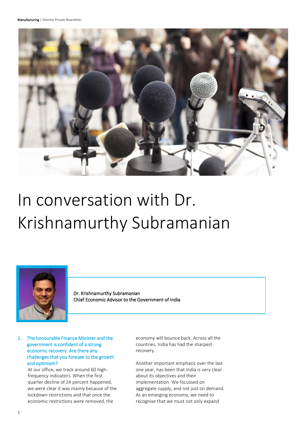

# <span id="page-3-0"></span>In conversation with Dr. Krishnamurthy Subramanian



Dr. Krishnamurthy Subramanian Chief Economic Advisor to the Government of India

#### 1. The honourable Finance Minister and the government is confident of a strong economic recovery. Are there any challenges that you foresee to the growth and optimism?

At our office, we track around 60 highfrequency indicators. When the first quarter decline of 24 percent happened, we were clear it was mainly because of the lockdown restrictions and that once the economic restrictions were removed, the

economy will bounce back. Across all the countries, India has had the sharpest recovery.

Another important emphasis over the last one year, has been that India is very clear about its objectives and their implementation. We focussed on aggregate supply, and not just on demand. As an emerging economy, we need to recognise that we must not only expand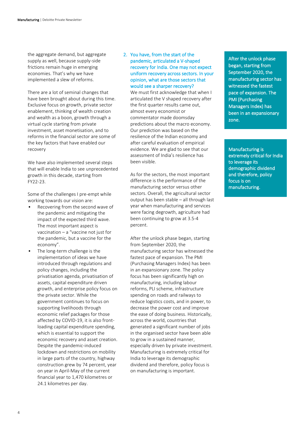the aggregate demand, but aggregate supply as well, because supply-side frictions remain huge in emerging economies. That's why we have implemented a slew of reforms.

There are a lot of seminal changes that have been brought about during this time. Exclusive focus on growth, private sector enablement, thinking of wealth creation and wealth as a boon, growth through a virtual cycle starting from private investment, asset monetisation, and to reforms in the financial sector are some of the key factors that have enabled our recovery

We have also implemented several steps that will enable India to see unprecedented growth in this decade, starting from FY22-23.

Some of the challenges I pre-empt while working towards our vision are:

- Recovering from the second wave of the pandemic and mitigating the impact of the expected third wave. The most important aspect is vaccination – a "vaccine not just for the pandemic, but a vaccine for the economy".
- The long-term challenge is the implementation of ideas we have introduced through regulations and policy changes, including the privatisation agenda, privatisation of assets, capital expenditure driven growth, and enterprise policy focus on the private sector. While the government continues to focus on supporting livelihoods through economic relief packages for those affected by COVID-19, it is also frontloading capital expenditure spending, which is essential to support the economic recovery and asset creation. Despite the pandemic-induced lockdown and restrictions on mobility in large parts of the country, highway construction grew by 74 percent, year on year in April-May of the current financial year to 1,470 kilometres or 24.1 kilometres per day.

#### 2. You have, from the start of the pandemic, articulated a V-shaped recovery for India. One may not expect uniform recovery across sectors. In your opinion, what are those sectors that would see a sharper recovery?

We must first acknowledge that when I articulated the V shaped recovery after the first quarter results came out, almost every economist or commentator made doomsday predictions about the macro economy. Our prediction was based on the resilience of the Indian economy and after careful evaluation of empirical evidence. We are glad to see that our assessment of India's resilience has been visible.

As for the sectors, the most important difference is the performance of the manufacturing sector versus other sectors. Overall, the agricultural sector output has been stable – all through last year when manufacturing and services were facing degrowth, agriculture had been continuing to grow at 3.5-4 percent.

After the unlock phase began, starting from September 2020, the manufacturing sector has witnessed the fastest pace of expansion. The PMI (Purchasing Managers Index) has been in an expansionary zone. The policy focus has been significantly high on manufacturing, including labour reforms, PLI scheme, infrastructure spending on roads and railways to reduce logistics costs, and in power, to decrease the power cost and improve the ease of doing business. Historically, across the world, countries that generated a significant number of jobs in the organised sector have been able to grow in a sustained manner, especially driven by private investment. Manufacturing is extremely critical for India to leverage its demographic dividend and therefore, policy focus is on manufacturing is important.

After the unlock phase began, starting from September 2020, the manufacturing sector has witnessed the fastest pace of expansion. The PMI (Purchasing Managers Index) has been in an expansionary zone.

Manufacturing is extremely critical for India to leverage its demographic dividend and therefore, policy focus is on manufacturing.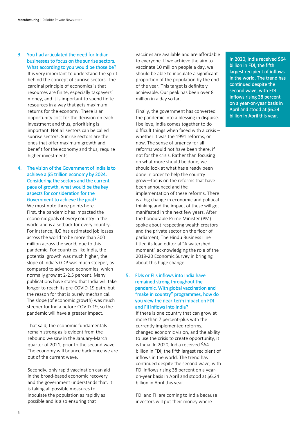3. You had articulated the need for Indian businesses to focus on the sunrise sectors. What according to you would be those be?

It is very important to understand the spirit behind the concept of sunrise sectors. The cardinal principle of economics is that resources are finite, especially taxpayers' money, and it is important to spend finite resources in a way that gets maximum returns for the economy. There is an opportunity cost for the decision on each investment and thus, prioritising is important. Not all sectors can be called sunrise sectors. Sunrise sectors are the ones that offer maximum growth and benefit for the economy and thus, require higher investments.

#### 4. The vision of the Government of India is to achieve a \$5 trillion economy by 2024. Considering the sectors and the current pace of growth, what would be the key aspects for consideration for the Government to achieve the goal?

We must note three points here. First, the pandemic has impacted the economic goals of every country in the world and is a setback for every country. For instance, ILO has estimated job losses across the world to be more than 300 million across the world, due to this pandemic. For countries like India, the potential growth was much higher, the slope of India's GDP was much steeper, as compared to advanced economies, which normally grow at 2-2.5 percent. Many publications have stated that India will take longer to reach its pre-COVID-19 path, but the reason for that is purely mechanical. The slope (of economic growth) was much steeper for India before COVID-19, so the pandemic will have a greater impact.

That said, the economic fundamentals remain strong as is evident from the rebound we saw in the January-March quarter of 2021, prior to the second wave. The economy will bounce back once we are out of the current wave.

Secondly, only rapid vaccination can aid in the broad-based economic recovery and the government understands that. It is taking all possible measures to inoculate the population as rapidly as possible and is also ensuring that

vaccines are available and are affordable to everyone. If we achieve the aim to vaccinate 10 million people a day, we should be able to inoculate a significant proportion of the population by the end of the year. This target is definitely achievable. Our peak has been over 8 million in a day so far.

Finally, the government has converted the pandemic into a blessing in disguise. I believe, India comes together to do difficult things when faced with a crisis – whether it was the 1991 reforms, or now. The sense of urgency for all reforms would not have been there, if not for the crisis. Rather than focusing on what more should be done, we should look at what has already been done in order to help the country grow—focus on the reforms that have been announced and the implementation of these reforms. There is a big change in economic and political thinking and the impact of these will get manifested in the next few years. After the honourable Prime Minister (PM) spoke about respecting wealth creators and the private sector on the floor of parliament, The Hindu Business Line titled its lead editorial "A watershed moment" acknowledging the role of the 2019-20 Economic Survey in bringing about this huge change.

#### 5. FDIs or FIIs inflows into India have remained strong throughout the pandemic. With global vaccination and "make in country" programmes, how do you view the near-term impact on FDI and FII inflows into India?

If there is one country that can grow at more than 7 percent-plus with the currently implemented reforms, changed economic vision, and the ability to use the crisis to create opportunity, it is India. In 2020, India received \$64 billion in FDI, the fifth largest recipient of inflows in the world. The trend has continued despite the second wave, with FDI inflows rising 38 percent on a yearon-year basis in April and stood at \$6.24 billion in April this year.

FDI and FII are coming to India because investors will put their money where

In 2020, India received \$64 billion in FDI, the fifth largest recipient of inflows in the world. The trend has continued despite the second wave, with FDI inflows rising 38 percent on a year-on-year basis in April and stood at \$6.24 billion in April this year.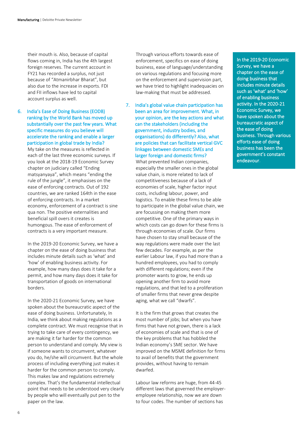their mouth is. Also, because of capital flows coming in, India has the 4th largest foreign reserves. The current account in FY21 has recorded a surplus, not just because of "Atmanirbhar Bharat", but also due to the increase in exports. FDI and FII inflows have led to capital account surplus as well.

6. India's Ease of Doing Business (EODB) ranking by the World Bank has moved up substantially over the past few years. What specific measures do you believe will accelerate the ranking and enable a larger participation in global trade by India?

My take on the measures is reflected in each of the last three economic surveys. If you look at the 2018-19 Economic Survey chapter on judiciary called "Ending matsyanyaya", which means "ending the rule of the jungle", it emphasises on the ease of enforcing contracts. Out of 192 countries, we are ranked 164th in the ease of enforcing contracts. In a market economy, enforcement of a contract is sine qua non. The positive externalities and beneficial spill overs it creates is humongous. The ease of enforcement of contracts is a very important measure.

In the 2019-20 Economic Survey, we have a chapter on the ease of doing business that includes minute details such as 'what' and 'how' of enabling business activity. For example, how many days does it take for a permit, and how many days does it take for transportation of goods on international borders.

In the 2020-21 Economic Survey, we have spoken about the bureaucratic aspect of the ease of doing business. Unfortunately, In India, we think about making regulations as a complete contract. We must recognise that in trying to take care of every contingency, we are making it far harder for the common person to understand and comply. My view is if someone wants to circumvent, whatever you do, he/she will circumvent. But the whole process of including everything just makes it harder for the common person to comply. This makes law and regulations extremely complex. That's the fundamental intellectual point that needs to be understood very clearly by people who will eventually put pen to the paper on the law.

Through various efforts towards ease of enforcement, specifics on ease of doing business, ease of language/understanding on various regulations and focusing more on the enforcement and supervision part, we have tried to highlight inadequacies on law-making that must be addressed.

7. India's global value chain participation has been an area for improvement. What, in your opinion, are the key actions and what can the stakeholders (including the government, industry bodies, and organisations) do differently? Also, what are policies that can facilitate vertical GVC linkages between domestic SMEs and larger foreign and domestic firms?

What prevented Indian companies, especially the smaller ones in the global value chain, is more related to lack of competitiveness because of a lack of economies of scale, higher factor input costs, including labour, power, and logistics. To enable these firms to be able to participate in the global value chain, we are focussing on making them more competitive. One of the primary ways in which costs can go down for these firms is through economies of scale. Our firms have chosen to stay small because of the way regulations were made over the last few decades. For example, as per the earlier Labour law, if you had more than a hundred employees, you had to comply with different regulations; even if the promoter wants to grow, he ends up opening another firm to avoid more regulations, and that led to a proliferation of smaller firms that never grew despite aging, what we call "dwarfs".

It is the firm that grows that creates the most number of jobs; but when you have firms that have not grown, there is a lack of economies of scale and that is one of the key problems that has hobbled the Indian economy's SME sector. We have improved on the MSME definition for firms to avail of benefits that the government provides, without having to remain dwarfed.

Labour law reforms are huge, from 44-45 different laws that governed the employeremployee relationship, now we are down to four codes. The number of sections has

In the 2019-20 Economic Survey, we have a chapter on the ease of doing business that includes minute details such as 'what' and 'how' of enabling business activity. In the 2020-21 Economic Survey, we have spoken about the bureaucratic aspect of the ease of doing business. Through various efforts ease of doing business has been the government's constant endeavour.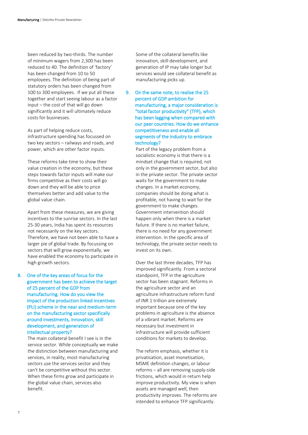been reduced by two-thirds. The number of minimum wagers from 2,300 has been reduced to 40. The definition of 'factory' has been changed from 10 to 50 employees. The definition of being part of statutory orders has been changed from 100 to 300 employees. If we put all these together and start seeing labour as a factor input – the cost of that will go down significantly and it will ultimately reduce costs for businesses.

As part of helping reduce costs, infrastructure spending has focussed on two key sectors – railways and roads, and power, which are other factor inputs.

These reforms take time to show their value creation in the economy, but these steps towards factor inputs will make our firms competitive as their costs will go down and they will be able to price themselves better and add value to the global value chain.

Apart from these measures, we are giving incentives to the sunrise sectors. In the last 25-30 years, India has spent its resources not necessarily on the key sectors. Therefore, we have not been able to have a larger pie of global trade. By focussing on sectors that will grow exponentially, we have enabled the economy to participate in high growth sectors.

8. One of the key areas of focus for the government has been to achieve the target of 25 percent of the GDP from manufacturing. How do you view the impact of the production linked incentives (PLI) scheme in the near and medium-term on the manufacturing sector specifically around investments, innovation, skill development, and generation of intellectual property?

The main collateral benefit I see is in the service sector. While conceptually we make the distinction between manufacturing and services, in reality, most manufacturing sectors use the services sector and they can't be competitive without this sector. When these firms grow and participate in the global value chain, services also benefit.

Some of the collateral benefits like innovation, skill-development, and generation of IP may take longer but services would see collateral benefit as manufacturing picks up.

9. On the same note, to realise the 25 percent of GDP ambition for manufacturing, a major consideration is "total factor productivity" (TFP), which has been lagging when compared with our peer countries. How do we enhance competitiveness and enable all segments of the industry to embrace technology?

> Part of the legacy problem from a socialistic economy is that there is a mindset change that is required, not only in the government sector, but also in the private sector. The private sector waits for the government to make changes. In a market economy, companies should be doing what is profitable, not having to wait for the government to make changes. Government intervention should happen only when there is a market failure. If there is no market failure, there is no need for any government intervention. In the specific area of technology, the private sector needs to invest on its own.

Over the last three decades, TFP has improved significantly. From a sectoral standpoint, TFP in the agriculture sector has been stagnant. Reforms in the agriculture sector and an agriculture infrastructure reform fund of INR 1 trillion are extremely important because one of the key problems in agriculture is the absence of a vibrant market. Reforms are necessary but investment in infrastructure will provide sufficient conditions for markets to develop.

The reform emphasis, whether it is privatisation, asset monetisation, MSME definition changes, or labour reforms – all are removing supply-side frictions, which would in return help improve productivity. My view is when assets are managed well, then productivity improves. The reforms are intended to enhance TFP significantly.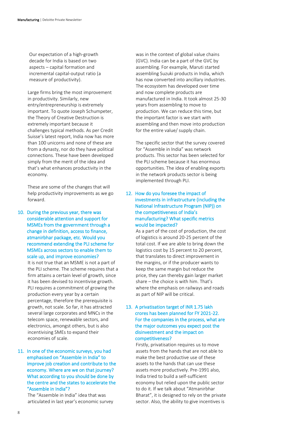Our expectation of a high-growth decade for India is based on two aspects – capital formation and incremental capital-output ratio (a measure of productivity).

Large firms bring the most improvement in productivity. Similarly, new entry/entrepreneurship is extremely important. To quote Joseph Schumpeter, the Theory of Creative Destruction is extremely important because it challenges typical methods. As per Credit Suisse's latest report, India now has more than 100 unicorns and none of these are from a dynasty, nor do they have political connections. These have been developed simply from the merit of the idea and that's what enhances productivity in the economy.

These are some of the changes that will help productivity improvements as we go forward.

10. During the previous year, there was considerable attention and support for MSMEs from the government through a change in definition, access to finance, atmanirbhar package, etc. Would you recommend extending the PLI scheme for MSMEs across sectors to enable them to scale up, and improve economies?

> It is not true that an MSME is not a part of the PLI scheme. The scheme requires that a firm attains a certain level of growth, since it has been devised to incentivise growth. PLI requires a commitment of growing the production every year by a certain percentage, therefore the prerequisite is growth, not scale. So far, it has attracted several large corporates and MNCs in the telecom space, renewable sectors, and electronics, amongst others, but is also incentivising SMEs to expand their economies of scale.

#### 11. In one of the economic surveys, you had emphasised on "Assemble in India" to improve job creation and contribute to the economy. Where are we on that journey? What according to you should be done by the centre and the states to accelerate the "Assemble in India"?

The "Assemble in India" idea that was articulated in last year's economic survey was in the context of global value chains (GVC). India can be a part of the GVC by assembling. For example, Maruti started assembling Suzuki products in India, which has now converted into ancillary industries. The ecosystem has developed over time and now complete products are manufactured in India. It took almost 25-30 years from assembling to move to production. We can reduce this time, but the important factor is we start with assembling and then move into production for the entire value/ supply chain.

The specific sector that the survey covered for "Assemble in India" was network products. This sector has been selected for the PLI scheme because it has enormous opportunities. The idea of enabling exports in the network products sector is being implemented through PLI.

#### 12. How do you foresee the impact of investments in infrastructure (including the National Infrastructure Program (NIP)) on the competitiveness of India's manufacturing? What specific metrics would be impacted?

As a part of the cost of production, the cost of logistics is around 20-25 percent of the total cost. If we are able to bring down the logistics cost by 15 percent to 20 percent, that translates to direct improvement in the margins, or if the producer wants to keep the same margin but reduce the price, they can thereby gain larger market share – the choice is with him. That's where the emphasis on railways and roads as part of NIP will be critical.

#### 13. A privatisation target of INR 1.75 lakh crores has been planned for FY 2021-22. For the companies in the process, what are the major outcomes you expect post the disinvestment and the impact on competitiveness?

Firstly, privatisation requires us to move assets from the hands that are not able to make the best productive use of these assets to the hands that can use these assets more productively. Pre-1991 also, India tried to build a self-sufficient economy but relied upon the public sector to do it. If we talk about "Atmanirbhar Bharat", it is designed to rely on the private sector. Also, the ability to give incentives is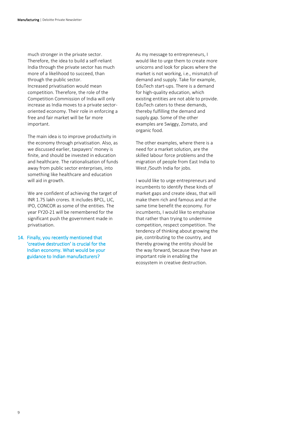much stronger in the private sector. Therefore, the idea to build a self-reliant India through the private sector has much more of a likelihood to succeed, than through the public sector. Increased privatisation would mean competition. Therefore, the role of the Competition Commission of India will only increase as India moves to a private sectororiented economy. Their role in enforcing a free and fair market will be far more important.

The main idea is to improve productivity in the economy through privatisation. Also, as we discussed earlier, taxpayers' money is finite, and should be invested in education and healthcare. The rationalisation of funds away from public sector enterprises, into something like healthcare and education will aid in growth.

We are confident of achieving the target of INR 1.75 lakh crores. It includes BPCL, LIC, IPO, CONCOR as some of the entities. The year FY20-21 will be remembered for the significant push the government made in privatisation.

14. Finally, you recently mentioned that 'creative destruction' is crucial for the Indian economy. What would be your guidance to Indian manufacturers?

As my message to entrepreneurs, I would like to urge them to create more unicorns and look for places where the market is not working, i.e., mismatch of demand and supply. Take for example, EduTech start-ups. There is a demand for high-quality education, which existing entities are not able to provide. EduTech caters to these demands, thereby fulfilling the demand and supply gap. Some of the other examples are Swiggy, Zomato, and organic food.

The other examples, where there is a need for a market solution, are the skilled labour force problems and the migration of people from East India to West /South India for jobs.

I would like to urge entrepreneurs and incumbents to identify these kinds of market gaps and create ideas, that will make them rich and famous and at the same time benefit the economy. For incumbents, I would like to emphasise that rather than trying to undermine competition, respect competition. The tendency of thinking about growing the pie, contributing to the country, and thereby growing the entity should be the way forward, because they have an important role in enabling the ecosystem in creative destruction.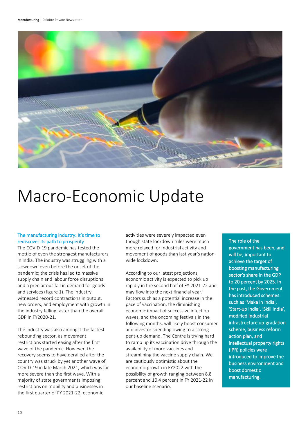

### <span id="page-10-0"></span>Macro-Economic Update

#### The manufacturing industry: It's time to rediscover its path to prosperity

The COVID-19 pandemic has tested the mettle of even the strongest manufacturers in India. The industry was struggling with a slowdown even before the onset of the pandemic; the crisis has led to massive supply chain and labour force disruptions and a precipitous fall in demand for goods and services (figure 1). The industry witnessed record contractions in output, new orders, and employment with growth in the industry falling faster than the overall GDP in FY2020-21.

The industry was also amongst the fastest rebounding sector, as movement restrictions started easing after the first wave of the pandemic. However, the recovery seems to have derailed after the country was struck by yet another wave of COVID-19 in late March 2021, which was far more severe than the first wave. With a majority of state governments imposing restrictions on mobility and businesses in the first quarter of FY 2021-22, economic

activities were severely impacted even though state lockdown rules were much more relaxed for industrial activity and movement of goods than last year's nationwide lockdown.

According to our latest projections, economic activity is expected to pick up rapidly in the second half of FY 2021-22 and may flow into the next financial year.<sup>i</sup> Factors such as a potential increase in the pace of vaccination, the diminishing economic impact of successive infection waves, and the oncoming festivals in the following months, will likely boost consumer and investor spending owing to a strong pent-up demand. The Centre is trying hard to ramp up its vaccination drive through the availability of more vaccines and streamlining the vaccine supply chain. We are cautiously optimistic about the economic growth in FY2022 with the possibility of growth ranging between 8.8 percent and 10.4 percent in FY 2021-22 in our baseline scenario.

#### The role of the

government has been, and will be, important to achieve the target of boosting manufacturing sector's share in the GDP to 20 percent by 2025. In the past, the Government has introduced schemes such as 'Make in India', 'Start-up India', 'Skill India', modified industrial infrastructure up-gradation scheme, business reform action plan, and intellectual property rights (IPR) policies were introduced to improve the business environment and boost domestic manufacturing.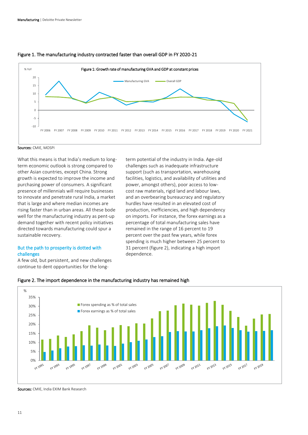

term potential of the industry in India. Age-old challenges such as inadequate infrastructure support (such as transportation, warehousing facilities, logistics, and availability of utilities and power, amongst others), poor access to lowcost raw materials, rigid land and labour laws, and an overbearing bureaucracy and regulatory hurdles have resulted in an elevated cost of production, inefficiencies, and high dependency on imports. For instance, the forex earnings as a percentage of total manufacturing sales have remained in the range of 16 percent to 19 percent over the past few years, while forex spending is much higher between 25 percent to 31 percent (figure 2), indicating a high import

#### Figure 1. The manufacturing industry contracted faster than overall GDP in FY 2020-21

Sources: CMIE, MOSPI

What this means is that India's medium to longterm economic outlook is strong compared to other Asian countries, except China. Strong growth is expected to improve the income and purchasing power of consumers. A significant presence of millennials will require businesses to innovate and penetrate rural India, a market that is large and where median incomes are rising faster than in urban areas. All these bode well for the manufacturing industry as pent-up demand together with recent policy initiatives directed towards manufacturing could spur a sustainable recovery.

#### But the path to prosperity is dotted with challenges

A few old, but persistent, and new challenges continue to dent opportunities for the long-

% 35% **Forex spending as % of total sales** 30% **Forex earnings as % of total sales** 25% 20% 15% 10% 5% 0%  $\frac{1}{(100)^5}$  $\frac{1}{512003}$ FY 1993 FY 1995 FY 1997 FY 1999 FY 2001 FY 2005 FY 2007 FY 2009 FY 2013 **FY 2011 FY 2015 RY 2017 PY 2019** 

dependence.

#### Figure 2. The import dependence in the manufacturing industry has remained high

Sources: CMIE, India EXIM Bank Research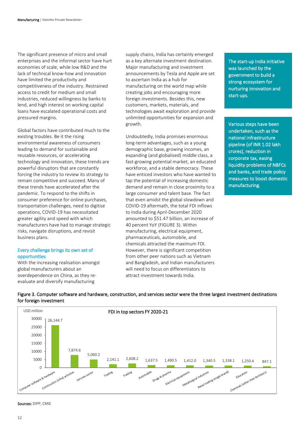The significant presence of micro and small enterprises and the informal sector have hurt economies of scale, while low R&D and the lack of technical know-how and innovation have limited the productivity and competitiveness of the industry. Restrained access to credit for medium and small industries, reduced willingness by banks to lend, and high interest on working capital loans have escalated operational costs and pressured margins.

Global factors have contributed much to the existing troubles. Be it the rising environmental awareness of consumers leading to demand for sustainable and reusable resources, or accelerating technology and innovation, these trends are powerful disruptors that are constantly forcing the industry to review its strategy to remain competitive and succeed. Many of these trends have accelerated after the pandemic. To respond to the shifts in consumer preference for online purchases, transportation challenges, need to digitise operations, COVID-19 has necessitated greater agility and speed with which manufacturers have had to manage strategic risks, navigate disruptions, and revisit business plans.

#### Every challenge brings its own set of opportunities

With the increasing realisation amongst global manufacturers about an overdependence on China, as they reevaluate and diversify manufacturing

7,874.6

5,060.2

Trading

Services sector

supply chains, India has certainly emerged as a key alternate investment destination. Major manufacturing and investment announcements by Tesla and Apple are set to ascertain India as a hub for manufacturing on the world map while creating jobs and encouraging more foreign investments. Besides this, new customers, markets, materials, and technologies await exploration and provide unlimited opportunities for expansion and growth.

Undoubtedly, India promises enormous long-term advantages, such as a young demographic base, growing incomes, an expanding (and globalised) middle class, a fast-growing potential market, an educated workforce, and a stable democracy. These have enticed investors who have wanted to tap the potential of increasing domestic demand and remain in close proximity to a large consumer and talent base. The fact that even amidst the global slowdown and COVID-19 aftermath, the total FDI inflows to India during April-December 2020 amounted to \$51.47 billion, an increase of 40 percent YoY (FIGURE 3). Within manufacturing, electrical equipment, pharmaceuticals, automobile, and chemicals attracted the maximum FDI. However, there is significant competition from other peer nations such as Vietnam and Bangladesh, and Indian manufacturers will need to focus on differentiators to attract investment towards India.

2,141.1 2,608.2 1,637.5 1,490.5 1,412.0 1,340.5 1,338.1 1,250.4 847.1

harma<br>Electrical equipments

Inments<br>Inments<br>Metallurgical Industries

al industries<br>Retail trading (single brand)

The start-up India initiative was launched by the government to build a strong ecosystem for nurturing innovation and start-ups.

Various steps have been undertaken, such as the national infrastructure pipeline (of INR 1.02 lakh crores), reduction in corporate tax, easing liquidity problems of NBFCs and banks, and trade policy measures to boost domestic manufacturing.

chemicals (other than fertilizers)

I



Automobile

Trading

Drugs & pharma



5000 10000

Computer software & hardware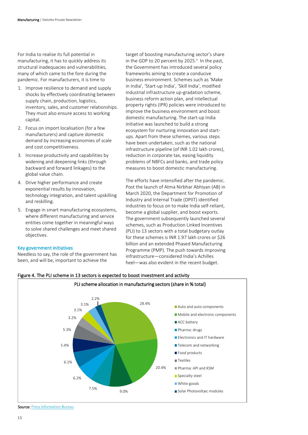For India to realise its full potential in manufacturing, it has to quickly address its structural inadequacies and vulnerabilities, many of which came to the fore during the pandemic. For manufacturers, it is time to

- 1. Improve resilience to demand and supply shocks by effectively coordinating between supply chain, production, logistics, inventory, sales, and customer relationships. They must also ensure access to working capital.
- 2. Focus on import localisation (for a few manufacturers) and capture domestic demand by increasing economies of scale and cost competitiveness.
- 3. Increase productivity and capabilities by widening and deepening links (through backward and forward linkages) to the global value chain.
- 4. Drive higher performance and create exponential results by innovation, technology integration, and talent upskilling and reskilling.
- 5. Engage in smart manufacturing ecosystems, where different manufacturing and service entities come together in meaningful ways to solve shared challenges and meet shared objectives.

#### Key government initiatives

Needless to say, the role of the government has been, and will be, important to achieve the

target of boosting manufacturing sector's share in the GDP to 20 percent by 2025.<sup>ii</sup> In the past, the Government has introduced several policy frameworks aiming to create a conducive business environment. Schemes such as 'Make in India', 'Start-up India', 'Skill India', modified industrial infrastructure up-gradation scheme, business reform action plan, and intellectual property rights (IPR) policies were introduced to improve the business environment and boost domestic manufacturing. The start-up India initiative was launched to build a strong ecosystem for nurturing innovation and startups. Apart from these schemes, various steps have been undertaken, such as the national infrastructure pipeline (of INR 1.02 lakh crores), reduction in corporate tax, easing liquidity problems of NBFCs and banks, and trade policy measures to boost domestic manufacturing.

The efforts have intensified after the pandemic. Post the launch of Atma Nirbhar Abhiyan (AB) in March 2020, the Department for Promotion of Industry and Internal Trade (DPIIT) identified industries to focus on to make India self-reliant, become a global supplier, and boost exports. The government subsequently launched several schemes, such as Production Linked Incentives (PLI) to 13 sectors with a total budgetary outlay for these schemes is INR 1.97 lakh crores or \$26 billion and an extended Phased Manufacturing Programme (PMP). The push towards improving infrastructure—considered India's Achilles heel—was also evident in the recent budget.



#### Figure 4. The PLI scheme in 13 sectors is expected to boost investment and activity

Source: [Press Information Bureau](https://www.pib.gov.in/PressReleseDetailm.aspx?PRID=1671912)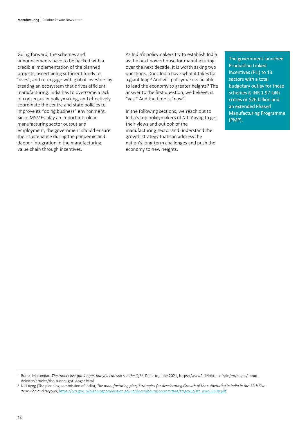Going forward, the schemes and announcements have to be backed with a credible implementation of the planned projects, ascertaining sufficient funds to invest, and re-engage with global investors by creating an ecosystem that drives efficient manufacturing. India has to overcome a lack of consensus in policymaking, and effectively coordinate the centre and state policies to improve its "doing business" environment. Since MSMEs play an important role in manufacturing sector output and employment, the government should ensure their sustenance during the pandemic and deeper integration in the manufacturing value chain through incentives.

As India's policymakers try to establish India as the next powerhouse for manufacturing over the next decade, it is worth asking two questions. Does India have what it takes for a giant leap? And will policymakers be able to lead the economy to greater heights? The answer to the first question, we believe, is "yes." And the time is "now".

In the following sections, we reach out to India's top policymakers of Niti Aayog to get their views and outlook of the manufacturing sector and understand the growth strategy that can address the nation's long-term challenges and push the economy to new heights.

The government launched Production Linked Incentives (PLI) to 13 sectors with a total budgetary outlay for these schemes is INR 1.97 lakh crores or \$26 billion and an extended Phased Manufacturing Programme (PMP).

Ĩ

<sup>i</sup> Rumki Majumdar, *The tunnel just got longer, but you can still see the light*, Deloitte, June 2021, https://www2.deloitte.com/in/en/pages/aboutdeloitte/articles/the-tunnel-got-longer.html

Niti Ayog (The planning commission of India), *The manufacturing plan, Strategies for Accelerating Growth of Manufacturing in India in the 12th Five Year Plan and Beyond*[, https://niti.gov.in/planningcommission.gov.in/docs/aboutus/committee/strgrp12/str\\_manu0304.pdf](https://niti.gov.in/planningcommission.gov.in/docs/aboutus/committee/strgrp12/str_manu0304.pdf)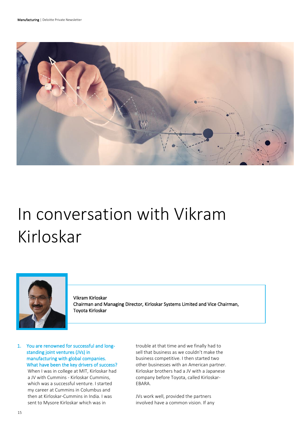

## <span id="page-15-0"></span>In conversation with Vikram Kirloskar



Vikram Kirloskar Chairman and Managing Director, Kirloskar Systems Limited and Vice Chairman, Toyota Kirloskar

1. You are renowned for successful and longstanding joint ventures (JVs) in manufacturing with global companies. What have been the key drivers of success? When I was in college at MIT, Kirloskar had a JV with Cummins - Kirloskar Cummins, which was a successful venture. I started my career at Cummins in Columbus and then at Kirloskar-Cummins in India. I was sent to Mysore Kirloskar which was in

trouble at that time and we finally had to sell that business as we couldn't make the business competitive. I then started two other businesses with an American partner. Kirloskar brothers had a JV with a Japanese company before Toyota, called Kirloskar-EBARA.

JVs work well, provided the partners involved have a common vision. If any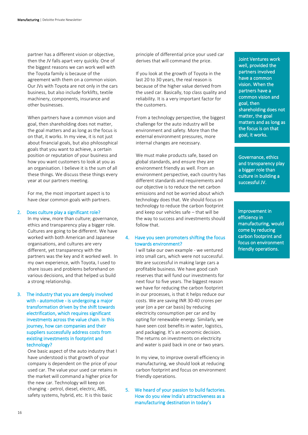partner has a different vision or objective, then the JV falls apart very quickly. One of the biggest reasons we can work well with the Toyota family is because of the agreement with them on a common vision. Our JVs with Toyota are not only in the cars business, but also include forklifts, textile machinery, components, insurance and other businesses.

When partners have a common vision and goal, then shareholding does not matter, the goal matters and as long as the focus is on that, it works. In my view, it is not just about financial goals, but also philosophical goals that you want to achieve, a certain position or reputation of your business and how you want customers to look at you as an organisation. I believe it is the sum of all these things. We discuss these things every year at our partners meeting.

For me, the most important aspect is to have clear common goals with partners.

#### 2. Does culture play a significant role?

In my view, more than culture; governance, ethics and transparency play a bigger role. Cultures are going to be different. We have worked with both American and Japanese organisations, and cultures are very different, yet transparency with the partners was the key and it worked well. In my own experience, with Toyota, I used to share issues and problems beforehand on various decisions, and that helped us build a strong relationship.

#### 3. The industry that you are deeply involved with - automotive - is undergoing a major transformation driven by the shift towards electrification, which requires significant investments across the value chain. In this journey, how can companies and their suppliers successfully address costs from existing investments in footprint and technology?

One basic aspect of the auto industry that I have understood is that growth of your company is dependent on the price of your used car. The value your used car retains in the market will command a higher price for the new car. Technology will keep on changing - petrol, diesel, electric, ABS, safety systems, hybrid, etc. It is this basic

principle of differential price your used car derives that will command the price.

If you look at the growth of Toyota in the last 20 to 30 years, the real reason is because of the higher value derived from the used car. Basically, top class quality and reliability. It is a very important factor for the customers.

From a technology perspective, the biggest challenge for the auto industry will be environment and safety. More than the external environment pressures, more internal changes are necessary.

We must make products safe, based on global standards, and ensure they are environment friendly as well. From an environment perspective, each country has different standards and requirements and our objective is to reduce the net carbon emissions and not be worried about which technology does that. We should focus on technology to reduce the carbon footprint and keep our vehicles safe – that will be the way to success and investments should follow that.

#### 4. Have you seen promoters shifting the focus towards environment?

I will take our own example - we ventured into small cars, which were not successful. We are successful in making large cars a profitable business. We have good cash reserves that will fund our investments for next four to five years. The biggest reason we have for reducing the carbon footprint in our processes, is that it helps reduce our costs. We are saving INR 30-40 crores per year (on a per car basis) by reducing electricity consumption per car and by opting for renewable energy. Similarly, we have seen cost benefits in water, logistics, and packaging. It's an economic decision. The returns on investments on electricity and water is paid back in one or two years.

In my view, to improve overall efficiency in manufacturing, we should look at reducing carbon footprint and focus on environment friendly operations.

5. We heard of your passion to build factories. How do you view India's attractiveness as a manufacturing destination in today's

Joint Ventures work well, provided the partners involved have a common vision. When the partners have a common vision and goal, then shareholding does not matter, the goal matters and as long as the focus is on that goal, it works.

Governance, ethics and transparency play a bigger role than culture in building a successful JV.

Improvement in efficiency in manufacturing, would come by reducing carbon footprint and focus on environment friendly operations.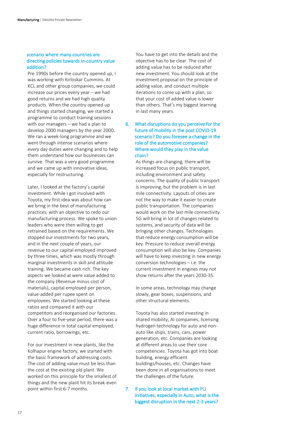#### scenario where many countries are directing policies towards in-country value addition?

Pre 1990s before the country opened up, I was working with Kirloskar Cummins. At KCL and other group companies, we could increase our prices every year – we had good returns and we had high quality products. When the country opened up and things started changing, we started a programme to conduct training sessions with our managers – we had a plan to develop 2000 managers by the year 2000. We ran a week-long programme and we went through intense scenarios where every day duties were changing and to help them understand how our businesses can survive. That was a very good programme and we came up with innovative ideas, especially for restructuring.

Later, I looked at the factory's capital investment. While I got involved with Toyota, my first idea was about how can we bring in the best of manufacturing practices, with an objective to redo our manufacturing process. We spoke to union leaders who were then willing to get retrained based on the requirements. We stopped our investments for two years, and in the next couple of years, our revenue to our capital employed improved by three times, which was mostly through marginal investments in skill and attitude training. We became cash rich. The key aspects we looked at were value added to the company (Revenue minus cost of materials), capital employed per person, value-added per rupee spent on employees. We started looking at these ratios and compared it with our competitors and reorganised our factories. Over a four to five-year period, there was a huge difference in total capital employed, current ratio, borrowings, etc.

For our investment in new plants, like the Kolhapur engine factory, we started with the basic framework of addressing costs. The cost of adding value must be less than the cost at the existing old plant. We worked on this principle for the smallest of things and the new plant hit its break-even point within first 6-7 months.

You have to get into the details and the objective has to be clear. The cost of adding value has to be reduced after new investment. You should look at the investment proposal on the principle of adding value, and conduct multiple iterations to come up with a plan, so that your cost of added value is lower than others. That's my biggest learning in last many years.

#### 6. What disruptions do you perceive for the future of mobility in the post COVID-19 scenario? Do you foresee a change in the role of the automotive companies? Where would they play in the value chain?

As things are changing, there will be increased focus on public transport, including environment and safety concerns. The quality of public transport is improving, but the problem is in last mile connectivity. Layouts of cities are not the way to make it easier to create public transportation. The companies would work on the last mile connectivity. 5G will bring in lot of changes related to systems, and security of data will be bringing other changes. Technologies that reduce energy consumption will be key. Pressure to reduce overall energy consumption will also be key. Companies will have to keep investing in new energy conversion technologies – i.e. the current investment in engines may not show returns after the years 2030-35.

In some areas, technology may change slowly, gear boxes, suspensions, and other structural elements.

Toyota has also started investing in shared mobility, AI companies, licensing hydrogen technology for auto and nonauto like ships, trains, cars, power generation, etc. Companies are looking at different areas to use their core competencies. Toyota has got into boat building, energy efficient buildings/houses, etc. Changes have been done in all organisations to meet the challenges of the future.

7. If you look at local market with PLI initiatives, especially in Auto, what is the biggest disruption in the next 2-3 years?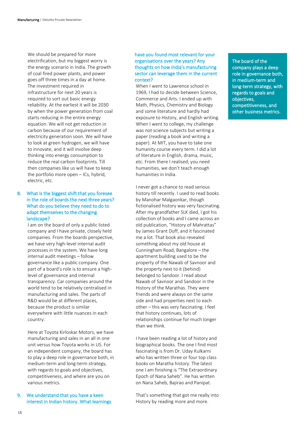We should be prepared for more electrification, but my biggest worry is the energy scenario in India. The growth of coal fired power plants, and power goes off three times in a day at home. The investment required in infrastructure for next 20 years is required to sort out basic energy reliability. At the earliest it will be 2030 by when the power generation from coal starts reducing in the entire energy equation. We will not get reduction in carbon because of our requirement of electricity generation soon. We will have to look at green hydrogen, we will have to innovate, and it will involve deep thinking into energy consumption to reduce the real carbon footprints. Till then companies like us will have to keep the portfolio more open – ICs, hybrid, electric, etc.

#### 8. What is the biggest shift that you foresee in the role of boards the next three years? What do you believe they need to do to adapt themselves to the changing landscape?

I am on the board of only a public listed company and I have private, closely held companies. From the boards perspective, we have very high-level internal audit processes in the system. We have long internal audit meetings – follow governance like a public company. One part of a board's role is to ensure a highlevel of governance and internal transparency. Car companies around the world tend to be relatively centralised in manufacturing and sales. The parts of R&D would be at different places, because the product is similar everywhere with little nuances in each country.

Here at Toyota Kirloskar Motors, we have manufacturing and sales in an all in one unit versus how Toyota works in US. For an independent company, the board has to play a deep role in governance both, in medium-term and long-term strategy, with regards to goals and objectives, competitiveness, and where are you on various metrics.

#### 9. We understand that you have a keen interest in Indian history. What learnings

#### have you found most relevant for your organisations over the years? Any thoughts on how India's manufacturing sector can leverage them in the current context?

When I went to Lawrence school in 1969, I had to decide between Science, Commerce and Arts. I ended up with Math, Physics, Chemistry and Biology and some literature and hardly had exposure to History, and English writing. When I went to college, my challenge was not science subjects but writing a paper (reading a book and writing a paper). At MIT, you have to take one humanity course every term. I did a lot of literature in English, drama, music, etc. From there I realised, you need humanities, we don't teach enough humanities in India.

I never got a chance to read serious history till recently. I used to read books by Manohar Malgaonkar, though fictionalised history was very fascinating. After my grandfather SLK died, I got his collection of books and I came across an old publication, "History of Mahrattas" by James Grant Duff, and it fascinated me a lot. That book also revealed something about my old house at Cunningham Road, Bangalore – the apartment building used to be the property of the Nawab of Savnoor and the property next to it (behind) belonged to Sandoor. I read about Nawab of Savnoor and Sandoor in the History of the Marathas. They were friends and were always on the same side and had properties next to each other – this was very fascinating. I feel that history continues, lots of relationships continue for much longer than we think.

I have been reading a lot of history and biographical books. The one I find most fascinating is from Dr. Uday Kulkarni who has written three or four top class books on Maratha history. The latest one I am finishing is "The Extraordinary Epoch of Nana Saheb". He has written on Nana Saheb, Bajirao and Panipat.

That's something that got me really into History by reading more and more.

The board of the company plays a deep role in governance both, in medium-term and long-term strategy, with regards to goals and objectives, competitiveness, and other business metrics.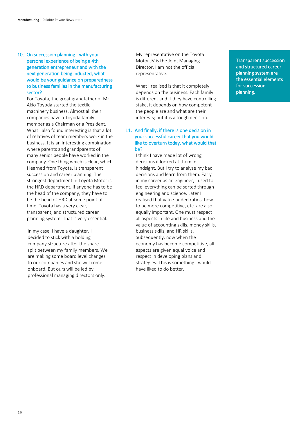#### 10. On succession planning - with your personal experience of being a 4th generation entrepreneur and with the next generation being inducted, what would be your guidance on preparedness to business families in the manufacturing sector?

For Toyota, the great grandfather of Mr. Akio Toyoda started the textile machinery business. Almost all their companies have a Toyoda family member as a Chairman or a President. What I also found interesting is that a lot of relatives of team members work in the business. It is an interesting combination where parents and grandparents of many senior people have worked in the company. One thing which is clear, which I learned from Toyota, is transparent succession and career planning. The strongest department in Toyota Motor is the HRD department. If anyone has to be the head of the company, they have to be the head of HRD at some point of time. Toyota has a very clear, transparent, and structured career planning system. That is very essential.

In my case, I have a daughter. I decided to stick with a holding company structure after the share split between my family members. We are making some board level changes to our companies and she will come onboard. But ours will be led by professional managing directors only.

My representative on the Toyota Motor JV is the Joint Managing Director. I am not the official representative.

What I realised is that it completely depends on the business. Each family is different and if they have controlling stake, it depends on how competent the people are and what are their interests; but it is a tough decision.

#### 11. And finally, if there is one decision in your successful career that you would like to overturn today, what would that be?

I think I have made lot of wrong decisions if looked at them in hindsight. But I try to analyse my bad decisions and learn from them. Early in my career as an engineer, I used to feel everything can be sorted through engineering and science. Later I realised that value-added ratios, how to be more competitive, etc. are also equally important. One must respect all aspects in life and business and the value of accounting skills, money skills, business skills, and HR skills. Subsequently, now when the economy has become competitive, all aspects are given equal voice and respect in developing plans and strategies. This is something I would have liked to do better.

Transparent succession and structured career planning system are the essential elements for succession planning.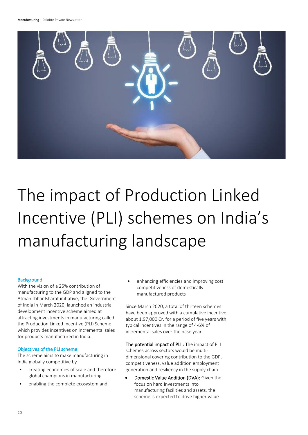Manufacturing | Deloitte Private Newsletter



# <span id="page-20-0"></span>The impact of Production Linked Incentive (PLI) schemes on India's manufacturing landscape

#### **Background**

With the vision of a 25% contribution of manufacturing to the GDP and aligned to the Atmanirbhar Bharat initiative, the Government of India in March 2020, launched an industrial development incentive scheme aimed at attracting investments in manufacturing called the Production Linked Incentive (PLI) Scheme which provides incentives on incremental sales for products manufactured in India.

#### Objectives of the PLI scheme

The scheme aims to make manufacturing in India globally competitive by

- creating economies of scale and therefore global champions in manufacturing
- enabling the complete ecosystem and,

• enhancing efficiencies and improving cost competitiveness of domestically manufactured products

Since March 2020, a total of thirteen schemes have been approved with a cumulative incentive about 1,97,000 Cr. for a period of five years with typical incentives in the range of 4-6% of incremental sales over the base year

The potential impact of PLI : The impact of PLI schemes across sectors would be multidimensional covering contribution to the GDP, competitiveness, value addition employment generation and resiliency in the supply chain

• Domestic Value Addition (DVA): Given the focus on hard investments into manufacturing facilities and assets, the scheme is expected to drive higher value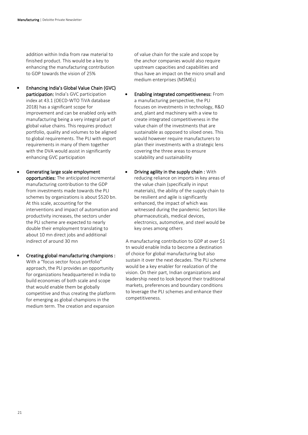addition within India from raw material to finished product. This would be a key to enhancing the manufacturing contribution to GDP towards the vision of 25%

- Enhancing India's Global Value Chain (GVC) participation: India's GVC participation index at 43.1 (OECD-WTO TiVA database 2018) has a significant scope for improvement and can be enabled only with manufacturing being a very integral part of global value chains. This requires product portfolio, quality and volumes to be aligned to global requirements. The PLI with export requirements in many of them together with the DVA would assist in significantly enhancing GVC participation
- Generating large scale employment opportunities: The anticipated incremental manufacturing contribution to the GDP from investments made towards the PLI schemes by organizations is about \$520 bn. At this scale, accounting for the interventions and impact of automation and productivity increases, the sectors under the PLI scheme are expected to nearly double their employment translating to about 10 mn direct jobs and additional indirect of around 30 mn
- Creating global manufacturing champions : With a "focus sector focus portfolio" approach, the PLI provides an opportunity for organizations headquartered in India to build economies of both scale and scope that would enable them be globally competitive and thus creating the platform for emerging as global champions in the medium term. The creation and expansion

of value chain for the scale and scope by the anchor companies would also require upstream capacities and capabilities and thus have an impact on the micro small and medium enterprises (MSMEs)

- Enabling integrated competitiveness: From a manufacturing perspective, the PLI focuses on investments in technology, R&D and, plant and machinery with a view to create integrated competitiveness in the value chain of the investments that are sustainable as opposed to siloed ones. This would however require manufacturers to plan their investments with a strategic lens covering the three areas to ensure scalability and sustainability
- Driving agility in the supply chain : With reducing reliance on imports in key areas of the value chain (specifically in input materials), the ability of the supply chain to be resilient and agile is significantly enhanced, the impact of which was witnessed during the pandemic. Sectors like pharmaceuticals, medical devices, electronics, automotive, and steel would be key ones among others

A manufacturing contribution to GDP at over \$1 tn would enable India to become a destination of choice for global manufacturing but also sustain it over the next decades. The PLI scheme would be a key enabler for realization of the vision. On their part, Indian organizations and leadership need to look beyond their traditional markets, preferences and boundary conditions to leverage the PLI schemes and enhance their competitiveness.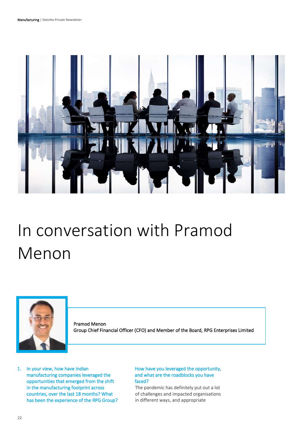

# <span id="page-22-0"></span>In conversation with Pramod Menon



Pramod Menon Group Chief Financial Officer (CFO) and Member of the Board, RPG Enterprises Limited

1. In your view, how have Indian manufacturing companies leveraged the opportunities that emerged from the shift in the manufacturing footprint across countries, over the last 18 months? What has been the experience of the RPG Group?

#### How have you leveraged the opportunity, and what are the roadblocks you have faced?

The pandemic has definitely put out a lot of challenges and impacted organisations in different ways, and appropriate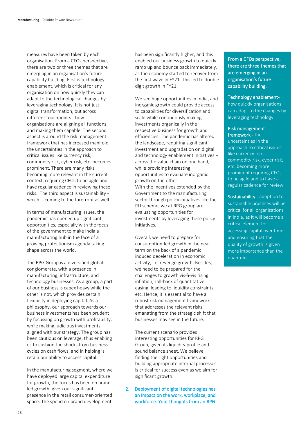measures have been taken by each organisation. From a CFOs perspective, there are two or three themes that are emerging in an organisation's future capability building. First is technology enablement, which is critical for any organisation on how quickly they can adapt to the technological changes by leveraging technology. It is not just digital transformation, but across different touchpoints - how organisations are aligning all functions and making them capable. The second aspect is around the risk management framework that has increased manifold the uncertainties in the approach to critical issues like currency risk, commodity risk, cyber risk, etc. becomes prominent. There are many risks becoming more relevant in the current context, requiring CFOs to be agile and have regular cadence in reviewing these risks. The third aspect is sustainability which is coming to the forefront as well.

In terms of manufacturing issues, the pandemic has opened up significant opportunities, especially with the focus of the government to make India a manufacturing hub in the face of a growing protectionism agenda taking shape across the world.

The RPG Group is a diversified global conglomerate, with a presence in manufacturing, infrastructure, and technology businesses. As a group, a part of our business is capex heavy while the other is not, which provides certain flexibility in deploying capital. As a philosophy, our approach towards our business investments has been prudent by focussing on growth with profitability, while making judicious investments aligned with our strategy. The group has been cautious on leverage, thus enabling us to cushion the shocks from business cycles on cash flows, and in helping is retain our ability to access capital.

In the manufacturing segment, where we have deployed large capital expenditure for growth, the focus has been on brandled growth, given our significant presence in the retail consumer-oriented space. The spend on brand development

has been significantly higher, and this enabled our business growth to quickly ramp up and bounce back immediately, as the economy started to recover from the first wave in FY21. This led to double digit growth in FY21.

We see huge opportunities in India, and inorganic growth could provide access to capabilities for diversification and scale while continuously making investments organically in the respective business for growth and efficiencies. The pandemic has altered the landscape, requiring significant investment and upgradation on digital and technology enablement initiatives – across the value chain on one hand, while providing interesting opportunities to evaluate inorganic growth on the other. With the incentives extended by the Government to the manufacturing sector through policy initiatives like the PLI scheme, we at RPG group are evaluating opportunities for investments by leveraging these policy initiatives.

Overall, we need to prepare for consumption-led growth in the near term on the back of a pandemic induced deceleration in economic activity, i.e. revenge growth. Besides, we need to be prepared for the challenges to growth vis-à-vis rising inflation, roll-back of quantitative easing, leading to liquidity constraints, etc. Hence, it is essential to have a robust risk management framework that addresses the relevant risks emanating from the strategic shift that businesses may see in the future.

The current scenario provides interesting opportunities for RPG Group, given its liquidity profile and sound balance sheet. We believe finding the right opportunities and building appropriate internal processes is critical for success even as we aim for significant growth.

2. Deployment of digital technologies has an impact on the work, workplace, and workforce. Your thoughts from an RPG

From a CFOs perspective, there are three themes that are emerging in an organisation's future capability building.

#### Technology enablement-

how quickly organisations can adapt to the changes by leveraging technology.

#### Risk management framework - the

uncertainties in the approach to critical issues like currency risk, commodity risk, cyber risk, etc. becoming more prominent requiring CFOs to be agile and to have a regular cadence for review

Sustainability - adoption to sustainable practices will be critical for all organisations in India, as it will become a critical element for accessing capital over time and ensuring that the quality of growth is given more importance than the quantum.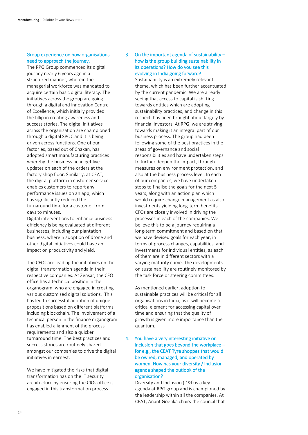#### Group experience on how organisations need to approach the journey.

The RPG Group commenced its digital journey nearly 6 years ago in a structured manner, wherein the managerial workforce was mandated to acquire certain basic digital literacy. The initiatives across the group are going through a digital and innovation Centre of Excellence, which initially provided the fillip in creating awareness and success stories. The digital initiatives across the organisation are championed through a digital SPOC and it is being driven across functions. One of our factories, based out of Chakan, has adopted smart manufacturing practices whereby the business head get live updates on each of the orders at the factory shop floor. Similarly, at CEAT, the digital platform in customer service enables customers to report any performance issues on an app, which has significantly reduced the turnaround time for a customer from days to minutes.

Digital interventions to enhance business efficiency is being evaluated at different businesses, including our plantation business, wherein adoption of drone and other digital initiatives could have an impact on productivity and yield.

The CFOs are leading the initiatives on the digital transformation agenda in their respective companies. At Zensar, the CFO office has a technical position in the organogram, who are engaged in creating various customised digital solutions. This has led to successful adoption of unique propositions based on different platforms including blockchain. The involvement of a technical person in the finance organogram has enabled alignment of the process requirements and also a quicker turnaround time. The best practices and success stories are routinely shared amongst our companies to drive the digital initiatives in earnest.

We have mitigated the risks that digital transformation has on the IT security architecture by ensuring the CIOs office is engaged in this transformation process.

#### 3. On the important agenda of sustainability – how is the group building sustainability in its operations? How do you see this evolving in India going forward?

Sustainability is an extremely relevant theme, which has been further accentuated by the current pandemic. We are already seeing that access to capital is shifting towards entities which are adopting sustainability practices, and change in this respect, has been brought about largely by financial investors. At RPG, we are striving towards making it an integral part of our business process. The group had been following some of the best practices in the areas of governance and social responsibilities and have undertaken steps to further deepen the impact, through measures on environment protection, and also at the business process level. In each of our companies, we have undertaken steps to finalise the goals for the next 5 years, along with an action plan which would require change management as also investments yielding long-term benefits. CFOs are closely involved in driving the processes in each of the companies. We believe this to be a journey requiring a long-term commitment and based on that we have devised goals for each year, in terms of process changes, capabilities, and investments for individual entities, as each of them are in different sectors with a varying maturity curve. The developments on sustainability are routinely monitored by the task force or steering committees.

As mentioned earlier, adoption to sustainable practices will be critical for all organisations in India, as it will become a critical element for accessing capital over time and ensuring that the quality of growth is given more importance than the quantum.

4. You have a very interesting initiative on inclusion that goes beyond the workplace – for e.g., the CEAT Tyre shoppes that would be owned, managed, and operated by women. How has your diversity / inclusion agenda shaped the outlook of the organisation?

> Diversity and Inclusion (D&I) is a key agenda at RPG group and is championed by the leadership within all the companies. At CEAT, Anant Goenka chairs the council that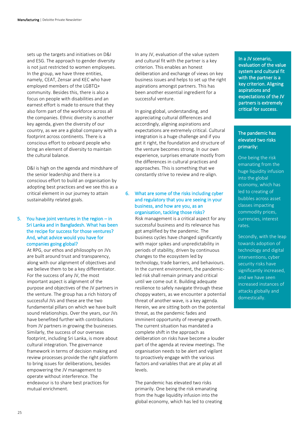sets up the targets and initiatives on D&I and ESG. The approach to gender diversity is not just restricted to women employees. In the group, we have three entities, namely, CEAT, Zensar and KEC who have employed members of the LGBTQ+ community. Besides this, there is also a focus on people with disabilities and an earnest effort is made to ensure that they also form part of the workforce across all the companies. Ethnic diversity is another key agenda, given the diversity of our country, as we are a global company with a footprint across continents. There is a conscious effort to onboard people who bring an element of diversity to maintain the cultural balance.

D&I is high on the agenda and mindshare of the senior leadership and there is a conscious effort to build an organisation by adopting best practices and we see this as a critical element in our journey to attain sustainability related goals.

#### 5. You have joint ventures in the region – in Sri Lanka and in Bangladesh. What has been the recipe for success for those ventures? And, what advice would you have for companies going global?

At RPG, our ethos and philosophy on JVs are built around trust and transparency, along with our alignment of objectives and we believe them to be a key differentiator. For the success of any JV, the most important aspect is alignment of the purpose and objectives of the JV partners in the venture. The group has a rich history of successful JVs and these are the two fundamental pillars on which we have built sound relationships. Over the years, our JVs have benefited further with contributions from JV partners in growing the businesses. Similarly, the success of our overseas footprint, including Sri Lanka, is more about cultural integration. The governance framework in terms of decision making and review processes provide the right platform to bring issues for deliberations, besides empowering the JV management to operate without interference. The endeavour is to share best practices for mutual enrichment.

In any JV, evaluation of the value system and cultural fit with the partner is a key criterion. This enables an honest deliberation and exchange of views on key business issues and helps to set up the right aspirations amongst partners. This has been another essential ingredient for a successful venture.

In going global, understanding, and appreciating cultural differences and accordingly, aligning aspirations and expectations are extremely critical. Cultural integration is a huge challenge and if you get it right, the foundation and structure of the venture becomes strong. In our own experience, surprises emanate mostly from the differences in cultural practices and approaches. This is something that we constantly strive to review and re-align.

#### 6. What are some of the risks including cyber and regulatory that you are seeing in your business, and how are you, as an organisation, tackling those risks?

Risk management is a critical aspect for any successful business and its relevance has got amplified by the pandemic. The business cycles have changed significantly with major spikes and unpredictability in periods of stability, driven by continuous changes to the ecosystem led by technology, trade barriers, and behaviours. In the current environment, the pandemicled risk shall remain primary and critical until we come out it. Building adequate resilience to safely navigate through these choppy waters, as we encounter a potential threat of another wave, is a key agenda. Herein, we are sitting both on the potential threat, as the pandemic fades and imminent opportunity of revenge growth. The current situation has mandated a complete shift in the approach as deliberation on risks have become a louder part of the agenda at review meetings. The organisation needs to be alert and vigilant to proactively engage with the various factors and variables that are at play at all levels.

The pandemic has elevated two risks primarily. One being the risk emanating from the huge liquidity infusion into the global economy, which has led to creating In a JV scenario, evaluation of the value system and cultural fit with the partner is a key criterion. Aligning aspirations and expectations of the JV partners is extremely critical for success.

#### The pandemic has elevated two risks primarily:

One being the risk emanating from the huge liquidity infusion into the global economy, which has led to creating of bubbles across asset classes impacting commodity prices, currencies, interest rates.

Secondly, with the leap towards adoption of technology and digital interventions, cyber security risks have significantly increased, and we have seen increased instances of attacks globally and domestically.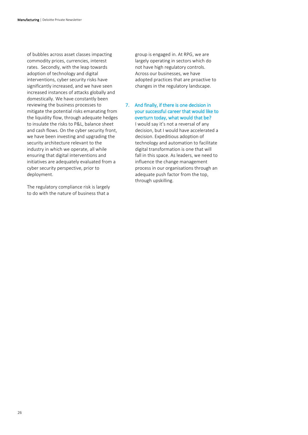of bubbles across asset classes impacting commodity prices, currencies, interest rates. Secondly, with the leap towards adoption of technology and digital interventions, cyber security risks have significantly increased, and we have seen increased instances of attacks globally and domestically. We have constantly been reviewing the business processes to mitigate the potential risks emanating from the liquidity flow, through adequate hedges to insulate the risks to P&L, balance sheet and cash flows. On the cyber security front, we have been investing and upgrading the security architecture relevant to the industry in which we operate, all while ensuring that digital interventions and initiatives are adequately evaluated from a cyber security perspective, prior to deployment.

The regulatory compliance risk is largely to do with the nature of business that a

group is engaged in. At RPG, we are largely operating in sectors which do not have high regulatory controls. Across our businesses, we have adopted practices that are proactive to changes in the regulatory landscape.

7. And finally, if there is one decision in your successful career that would like to overturn today, what would that be? I would say it's not a reversal of any decision, but I would have accelerated a decision. Expeditious adoption of technology and automation to facilitate digital transformation is one that will fall in this space. As leaders, we need to influence the change management process in our organisations through an adequate push factor from the top, through upskilling.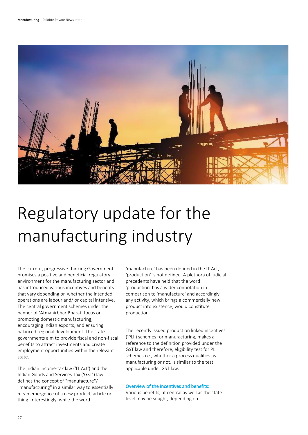

# <span id="page-27-0"></span>Regulatory update for the manufacturing industry

The current, progressive thinking Government promises a positive and beneficial regulatory environment for the manufacturing sector and has introduced various incentives and benefits that vary depending on whether the intended operations are labour and/ or capital intensive. The central government schemes under the banner of 'Atmanirbhar Bharat' focus on promoting domestic manufacturing, encouraging Indian exports, and ensuring balanced regional development. The state governments aim to provide fiscal and non-fiscal benefits to attract investments and create employment opportunities within the relevant state.

The Indian income-tax law ('IT Act') and the Indian Goods and Services Tax ('GST') law defines the concept of "manufacture"/ "manufacturing" in a similar way to essentially mean emergence of a new product, article or thing. Interestingly, while the word

'manufacture' has been defined in the IT Act, 'production' is not defined. A plethora of judicial precedents have held that the word 'production' has a wider connotation in comparison to 'manufacture' and accordingly any activity, which brings a commercially new product into existence, would constitute production.

The recently issued production linked incentives ('PLI') schemes for manufacturing, makes a reference to the definition provided under the GST law and therefore, eligibility test for PLI schemes i.e., whether a process qualifies as manufacturing or not, is similar to the test applicable under GST law.

#### Overview of the incentives and benefits:

Various benefits, at central as well as the state level may be sought, depending on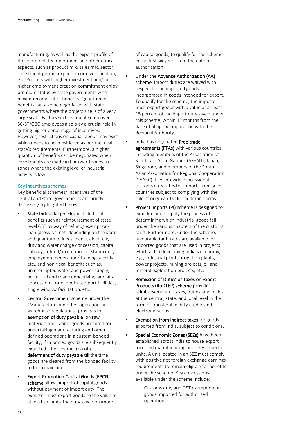manufacturing, as well as the export profile of the contemplated operations and other critical aspects, such as product mix, sales mix, sector, investment period, expansion or diversification, etc. Projects with higher investment and/ or higher employment creation commitment enjoy premium status by state governments with maximum amount of benefits. Quantum of benefits can also be negotiated with state governments where the project size is of a very large scale. Factors such as female employees or SC/ST/OBC employees also play a crucial role in getting higher percentage of incentives. However, restrictions on casual labour may exist which needs to be considered as per the local state's requirements. Furthermore, a higher quantum of benefits can be negotiated when investments are made in backward zones, i.e. zones where the existing level of industrial activity is low.

#### Key incentives schemes

Key beneficial schemes/ incentives of the central and state governments are briefly discussed/ highlighted below:

- State industrial policies include fiscal benefits such as reimbursement of statelevel GST by way of refund/ exemption/ loan (gross vs. net depending on the state and quantum of investment), electricity duty and water charge concession, capital subsidy, refund/ exemption of stamp duty, employment generation/ training subsidy, etc., and non-fiscal benefits such as, uninterrupted water and power supply, better rail and road connectivity, land at a concessional rate, dedicated port facilities, single window facilitation, etc.
- **Central Government** scheme under the "Manufacture and other operations in warehouse regulations" provides for exemption of duty payable on raw materials and capital goods procured for undertaking manufacturing and other defined operations in a custom bonded facility, if imported goods are subsequently exported. The scheme also offers deferment of duty payable till the time goods are cleared from the bonded facility to India mainland.
- Export Promotion Capital Goods (EPCG) scheme allows import of capital goods without payment of import duty. The exporter must export goods to the value of at least six times the duty saved on import

of capital goods, to qualify for the scheme in the first six years from the date of authorization.

- Under the Advance Authorization (AA) scheme, import duties are waived with respect to the imported goods incorporated in goods intended for export. To qualify for the scheme, the importer must export goods with a value of at least 15 percent of the import duty saved under this scheme, within 12 months from the date of filing the application with the Regional Authority.
- India has negotiated Free trade agreements (FTAs) with various countries including members of the Association of Southeast Asian Nations (ASEAN), Japan, Singapore, and members of the South Asian Association for Regional Cooperation (SAARC). FTAs provide concessional customs duty rates for imports from such countries subject to complying with the rule of origin and value addition norms.
- Project Imports (PI) scheme is designed to expedite and simplify the process of determining which industrial goods fall under the various chapters of the customs tariff. Furthermore, under the scheme, favourable tariff rates are available for imported goods that are used in projects which aid in developing India's economy, e.g., industrial plants, irrigation plants, power projects, mining projects, oil and mineral exploration projects, etc.
- Remission of Duties or Taxes on Export Products (RoDTEP) scheme provides reimbursement of taxes, duties, and levies at the central, state, and local level in the form of transferable duty credits and electronic scrips.
- Exemption from indirect taxes for goods exported from India, subject to conditions.
- Special Economic Zones (SEZs) have been established across India to house export focussed manufacturing and service sector units. A unit located in an SEZ must comply with positive net foreign exchange earnings requirements to remain eligible for benefits under the scheme. Key concessions available under the scheme include:
	- Customs duty and GST exemption on goods imported for authorised operations.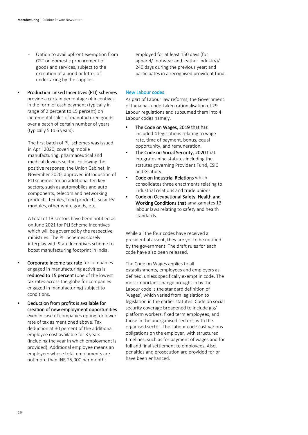- Option to avail upfront exemption from GST on domestic procurement of goods and services, subject to the execution of a bond or letter of undertaking by the supplier.
- Production Linked Incentives (PLI) schemes provide a certain percentage of incentives in the form of cash payment (typically in range of 2 percent to 15 percent) on incremental sales of manufactured goods over a batch of certain number of years (typically 5 to 6 years).

The first batch of PLI schemes was issued in April 2020, covering mobile manufacturing, pharmaceutical and medical devices sector. Following the positive response, the Union Cabinet, in November 2020, approved introduction of PLI schemes for an additional ten key sectors, such as automobiles and auto components, telecom and networking products, textiles, food products, solar PV modules, other white goods, etc.

A total of 13 sectors have been notified as on June 2021 for PLI Scheme incentives which will be governed by the respective ministries. The PLI Schemes closely interplay with State Incentives scheme to boost manufacturing footprint in India.

- Corporate income tax rate for companies engaged in manufacturing activities is reduced to 15 percent (one of the lowest tax rates across the globe for companies engaged in manufacturing) subject to conditions.
- Deduction from profits is available for creation of new employment opportunities even in case of companies opting for lower rate of tax as mentioned above. Tax deduction at 30 percent of the additional employee cost available for 3 years (including the year in which employment is provided). Additional employee means an employee: whose total emoluments are not more than INR 25,000 per month;

employed for at least 150 days (for apparel/ footwear and leather industry)/ 240 days during the previous year; and participates in a recognised provident fund.

#### New Labour codes

As part of Labour law reforms, the Government of India has undertaken rationalisation of 29 Labour regulations and subsumed them into 4 Labour codes namely,

- The Code on Wages, 2019 that has included 4 legislations relating to wage rate, time of payment, bonus, equal opportunity, and remuneration.
- The Code on Social Security, 2020 that integrates nine statutes including the statutes governing Provident Fund, ESIC and Gratuity.
- Code on Industrial Relations which consolidates three enactments relating to industrial relations and trade unions.
- Code on Occupational Safety, Health and Working Conditions that amalgamates 13 labour laws relating to safety and health standards.

While all the four codes have received a presidential assent, they are yet to be notified by the government. The draft rules for each code have also been released.

The Code on Wages applies to all establishments, employees and employers as defined, unless specifically exempt in code. The most important change brought in by the Labour code is the standard definition of 'wages', which varied from legislation to legislation in the earlier statutes. Code on social security coverage broadened to include gig/ platform workers, fixed term employees, and those in the unorganised sectors, with the organised sector. The Labour code cast various obligations on the employer, with structured timelines, such as for payment of wages and for full and final settlement to employees. Also, penalties and prosecution are provided for or have been enhanced.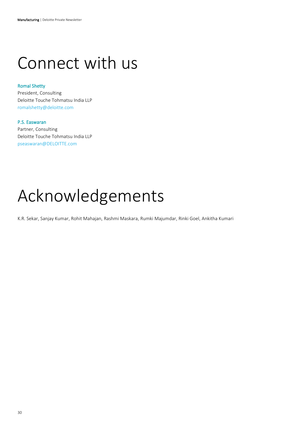### <span id="page-30-0"></span>Connect with us

#### Romal Shetty

President, Consulting Deloitte Touche Tohmatsu India LLP [romalshetty@deloitte.com](mailto:romalshetty@deloitte.com)

#### P.S. Easwaran

Partner, Consulting Deloitte Touche Tohmatsu India LLP [pseaswaran@DELOITTE.com](mailto:pseaswaran@DELOITTE.com)

### Acknowledgements

K.R. Sekar, Sanjay Kumar, Rohit Mahajan, Rashmi Maskara, Rumki Majumdar, Rinki Goel, Ankitha Kumari